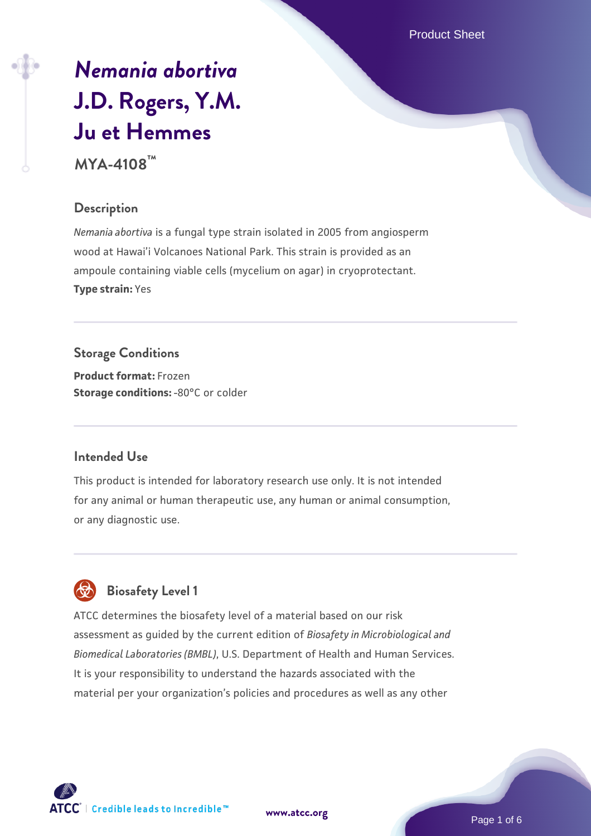Product Sheet

# *[Nemania abortiva](https://www.atcc.org/products/mya-4108)* **[J.D. Rogers, Y.M.](https://www.atcc.org/products/mya-4108) [Ju et Hemmes](https://www.atcc.org/products/mya-4108)**

**MYA-4108™**

#### **Description**

*Nemania abortiva* is a fungal type strain isolated in 2005 from angiosperm wood at Hawai'i Volcanoes National Park. This strain is provided as an ampoule containing viable cells (mycelium on agar) in cryoprotectant. **Type strain:** Yes

**Storage Conditions Product format:** Frozen **Storage conditions: -80°C or colder** 

#### **Intended Use**

This product is intended for laboratory research use only. It is not intended for any animal or human therapeutic use, any human or animal consumption, or any diagnostic use.



## **Biosafety Level 1**

ATCC determines the biosafety level of a material based on our risk assessment as guided by the current edition of *Biosafety in Microbiological and Biomedical Laboratories (BMBL)*, U.S. Department of Health and Human Services. It is your responsibility to understand the hazards associated with the material per your organization's policies and procedures as well as any other



**[www.atcc.org](http://www.atcc.org)**

Page 1 of 6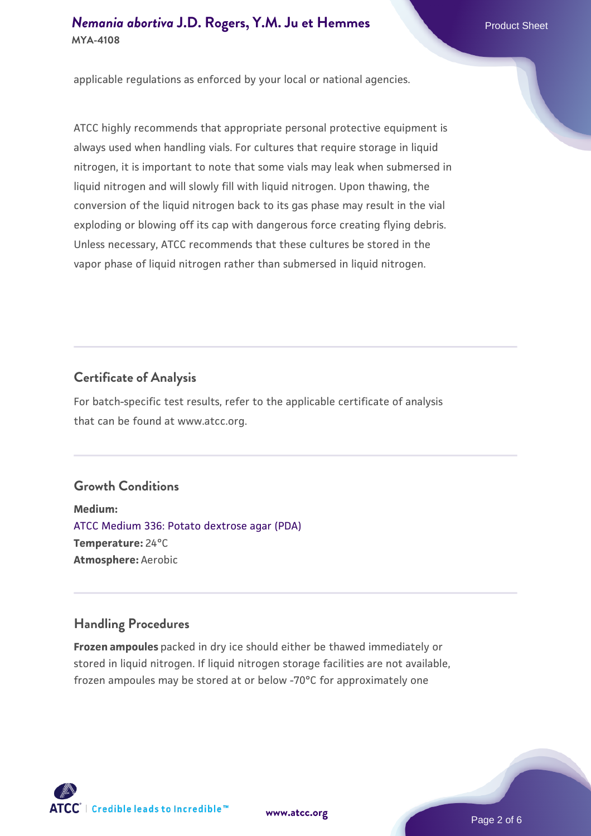#### *[Nemania abortiva](https://www.atcc.org/products/mya-4108)* **[J.D. Rogers, Y.M. Ju et Hemmes](https://www.atcc.org/products/mya-4108)** Product Sheet **MYA-4108**

applicable regulations as enforced by your local or national agencies.

ATCC highly recommends that appropriate personal protective equipment is always used when handling vials. For cultures that require storage in liquid nitrogen, it is important to note that some vials may leak when submersed in liquid nitrogen and will slowly fill with liquid nitrogen. Upon thawing, the conversion of the liquid nitrogen back to its gas phase may result in the vial exploding or blowing off its cap with dangerous force creating flying debris. Unless necessary, ATCC recommends that these cultures be stored in the vapor phase of liquid nitrogen rather than submersed in liquid nitrogen.

#### **Certificate of Analysis**

For batch-specific test results, refer to the applicable certificate of analysis that can be found at www.atcc.org.

### **Growth Conditions**

**Medium:**  [ATCC Medium 336: Potato dextrose agar \(PDA\)](https://www.atcc.org/-/media/product-assets/documents/microbial-media-formulations/3/3/6/atcc-medium-336.pdf?rev=d9160ad44d934cd8b65175461abbf3b9) **Temperature:** 24°C **Atmosphere:** Aerobic

### **Handling Procedures**

**Frozen ampoules** packed in dry ice should either be thawed immediately or stored in liquid nitrogen. If liquid nitrogen storage facilities are not available, frozen ampoules may be stored at or below -70°C for approximately one



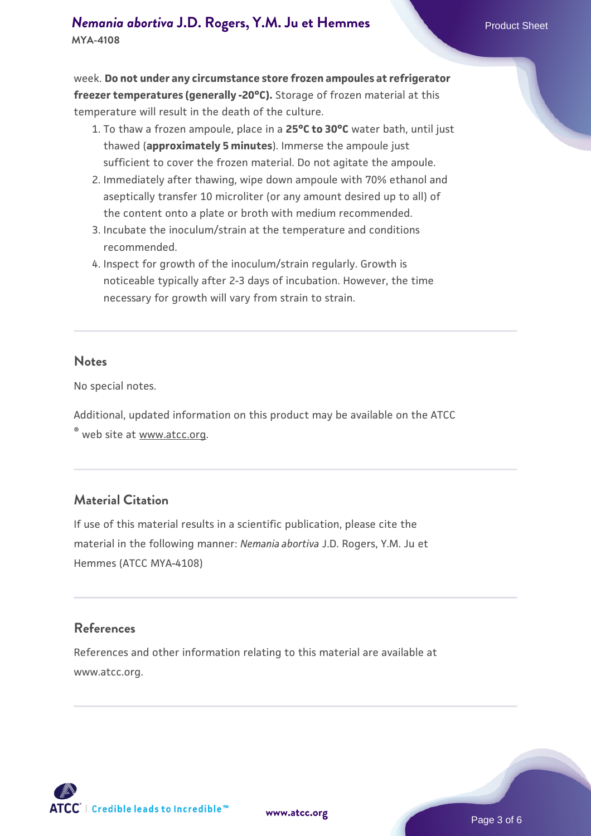week. **Do not under any circumstance store frozen ampoules at refrigerator freezer temperatures (generally -20°C).** Storage of frozen material at this temperature will result in the death of the culture.

- 1. To thaw a frozen ampoule, place in a **25°C to 30°C** water bath, until just thawed (**approximately 5 minutes**). Immerse the ampoule just sufficient to cover the frozen material. Do not agitate the ampoule.
- 2. Immediately after thawing, wipe down ampoule with 70% ethanol and aseptically transfer 10 microliter (or any amount desired up to all) of the content onto a plate or broth with medium recommended.
- 3. Incubate the inoculum/strain at the temperature and conditions recommended.
- 4. Inspect for growth of the inoculum/strain regularly. Growth is noticeable typically after 2-3 days of incubation. However, the time necessary for growth will vary from strain to strain.

#### **Notes**

No special notes.

Additional, updated information on this product may be available on the ATCC

® web site at www.atcc.org.

#### **Material Citation**

If use of this material results in a scientific publication, please cite the material in the following manner: *Nemania abortiva* J.D. Rogers, Y.M. Ju et Hemmes (ATCC MYA-4108)

#### **References**

References and other information relating to this material are available at www.atcc.org.

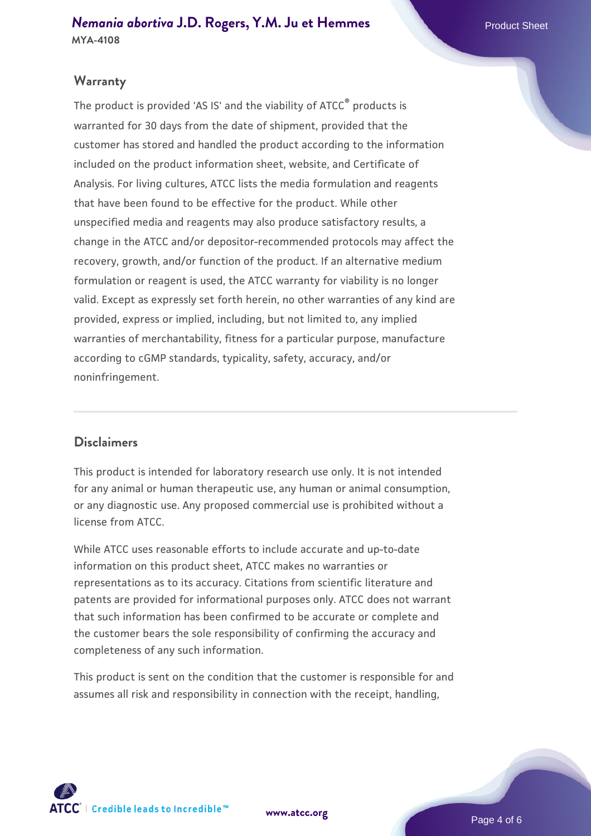### **Warranty**

The product is provided 'AS IS' and the viability of ATCC® products is warranted for 30 days from the date of shipment, provided that the customer has stored and handled the product according to the information included on the product information sheet, website, and Certificate of Analysis. For living cultures, ATCC lists the media formulation and reagents that have been found to be effective for the product. While other unspecified media and reagents may also produce satisfactory results, a change in the ATCC and/or depositor-recommended protocols may affect the recovery, growth, and/or function of the product. If an alternative medium formulation or reagent is used, the ATCC warranty for viability is no longer valid. Except as expressly set forth herein, no other warranties of any kind are provided, express or implied, including, but not limited to, any implied warranties of merchantability, fitness for a particular purpose, manufacture according to cGMP standards, typicality, safety, accuracy, and/or noninfringement.

#### **Disclaimers**

This product is intended for laboratory research use only. It is not intended for any animal or human therapeutic use, any human or animal consumption, or any diagnostic use. Any proposed commercial use is prohibited without a license from ATCC.

While ATCC uses reasonable efforts to include accurate and up-to-date information on this product sheet, ATCC makes no warranties or representations as to its accuracy. Citations from scientific literature and patents are provided for informational purposes only. ATCC does not warrant that such information has been confirmed to be accurate or complete and the customer bears the sole responsibility of confirming the accuracy and completeness of any such information.

This product is sent on the condition that the customer is responsible for and assumes all risk and responsibility in connection with the receipt, handling,



**[www.atcc.org](http://www.atcc.org)**

Page 4 of 6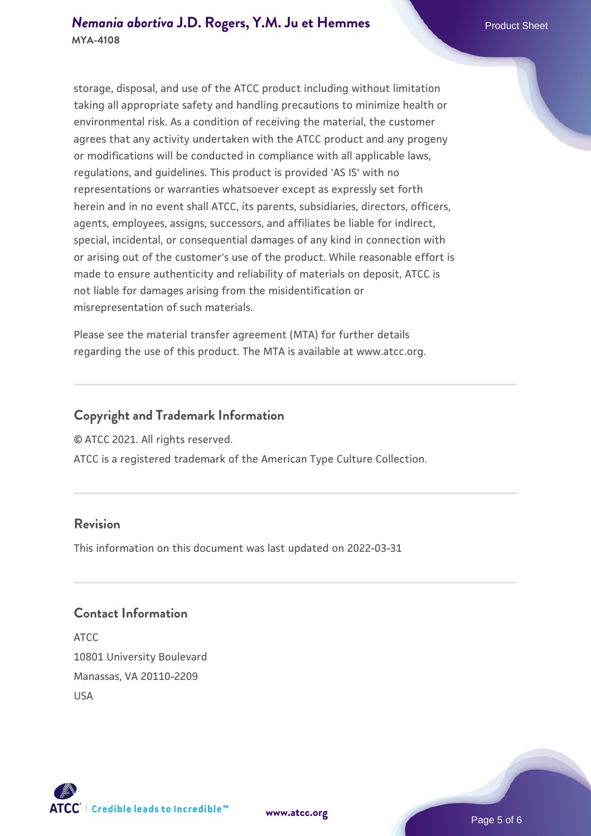#### *[Nemania abortiva](https://www.atcc.org/products/mya-4108)* **[J.D. Rogers, Y.M. Ju et Hemmes](https://www.atcc.org/products/mya-4108)** Product Sheet **MYA-4108**

storage, disposal, and use of the ATCC product including without limitation taking all appropriate safety and handling precautions to minimize health or environmental risk. As a condition of receiving the material, the customer agrees that any activity undertaken with the ATCC product and any progeny or modifications will be conducted in compliance with all applicable laws, regulations, and guidelines. This product is provided 'AS IS' with no representations or warranties whatsoever except as expressly set forth herein and in no event shall ATCC, its parents, subsidiaries, directors, officers, agents, employees, assigns, successors, and affiliates be liable for indirect, special, incidental, or consequential damages of any kind in connection with or arising out of the customer's use of the product. While reasonable effort is made to ensure authenticity and reliability of materials on deposit, ATCC is not liable for damages arising from the misidentification or misrepresentation of such materials.

Please see the material transfer agreement (MTA) for further details regarding the use of this product. The MTA is available at www.atcc.org.

### **Copyright and Trademark Information**

© ATCC 2021. All rights reserved.

ATCC is a registered trademark of the American Type Culture Collection.

#### **Revision**

This information on this document was last updated on 2022-03-31

### **Contact Information**

ATCC 10801 University Boulevard Manassas, VA 20110-2209 USA